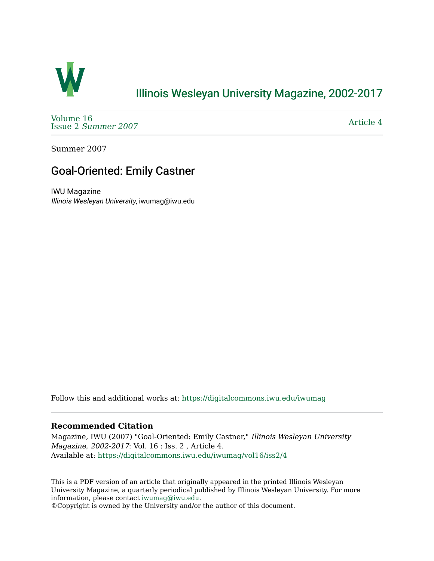

## [Illinois Wesleyan University Magazine, 2002-2017](https://digitalcommons.iwu.edu/iwumag)

[Volume 16](https://digitalcommons.iwu.edu/iwumag/vol16)  Issue 2 [Summer 2007](https://digitalcommons.iwu.edu/iwumag/vol16/iss2) 

[Article 4](https://digitalcommons.iwu.edu/iwumag/vol16/iss2/4) 

Summer 2007

## Goal-Oriented: Emily Castner

IWU Magazine Illinois Wesleyan University, iwumag@iwu.edu

Follow this and additional works at: [https://digitalcommons.iwu.edu/iwumag](https://digitalcommons.iwu.edu/iwumag?utm_source=digitalcommons.iwu.edu%2Fiwumag%2Fvol16%2Fiss2%2F4&utm_medium=PDF&utm_campaign=PDFCoverPages) 

## **Recommended Citation**

Magazine, IWU (2007) "Goal-Oriented: Emily Castner," Illinois Wesleyan University Magazine, 2002-2017: Vol. 16 : Iss. 2 , Article 4. Available at: [https://digitalcommons.iwu.edu/iwumag/vol16/iss2/4](https://digitalcommons.iwu.edu/iwumag/vol16/iss2/4?utm_source=digitalcommons.iwu.edu%2Fiwumag%2Fvol16%2Fiss2%2F4&utm_medium=PDF&utm_campaign=PDFCoverPages)

This is a PDF version of an article that originally appeared in the printed Illinois Wesleyan University Magazine, a quarterly periodical published by Illinois Wesleyan University. For more information, please contact [iwumag@iwu.edu](mailto:iwumag@iwu.edu).

©Copyright is owned by the University and/or the author of this document.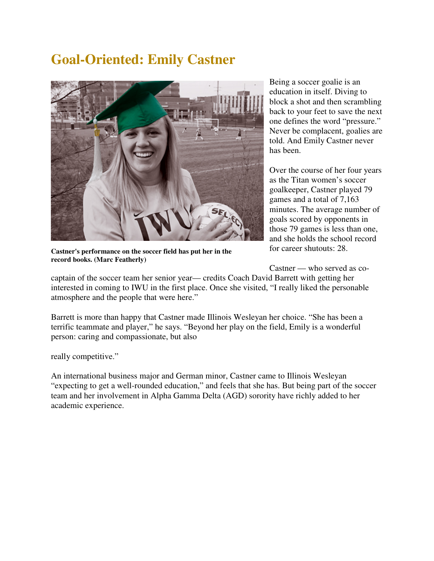## **Goal-Oriented: Emily Castner**



**Castner's performance on the soccer field has put her in the record books. (Marc Featherly)**

Being a soccer goalie is an education in itself. Diving to block a shot and then scrambling back to your feet to save the next one defines the word "pressure." Never be complacent, goalies are told. And Emily Castner never has been.

Over the course of her four years as the Titan women's soccer goalkeeper, Castner played 79 games and a total of 7,163 minutes. The average number of goals scored by opponents in those 79 games is less than one, and she holds the school record for career shutouts: 28.

Castner — who served as co-

captain of the soccer team her senior year— credits Coach David Barrett with getting her interested in coming to IWU in the first place. Once she visited, "I really liked the personable atmosphere and the people that were here."

Barrett is more than happy that Castner made Illinois Wesleyan her choice. "She has been a terrific teammate and player," he says. "Beyond her play on the field, Emily is a wonderful person: caring and compassionate, but also

really competitive."

An international business major and German minor, Castner came to Illinois Wesleyan "expecting to get a well-rounded education," and feels that she has. But being part of the soccer team and her involvement in Alpha Gamma Delta (AGD) sorority have richly added to her academic experience.